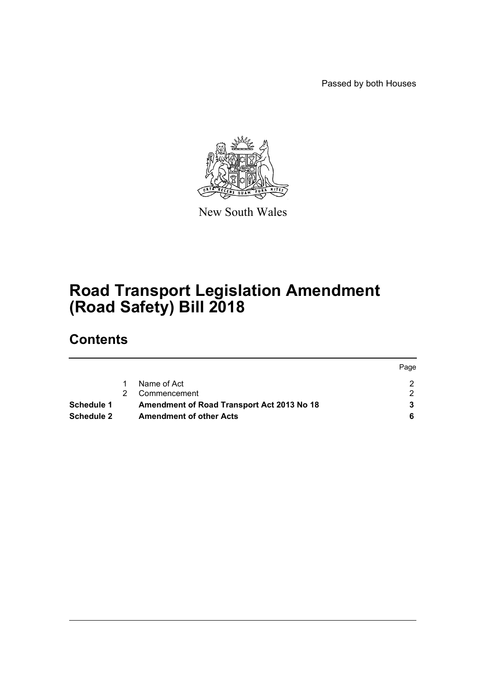Passed by both Houses



New South Wales

# **Road Transport Legislation Amendment (Road Safety) Bill 2018**

# **Contents**

|                   |                                            | Page |
|-------------------|--------------------------------------------|------|
|                   | Name of Act                                |      |
|                   | Commencement                               |      |
| Schedule 1        | Amendment of Road Transport Act 2013 No 18 |      |
| <b>Schedule 2</b> | <b>Amendment of other Acts</b>             |      |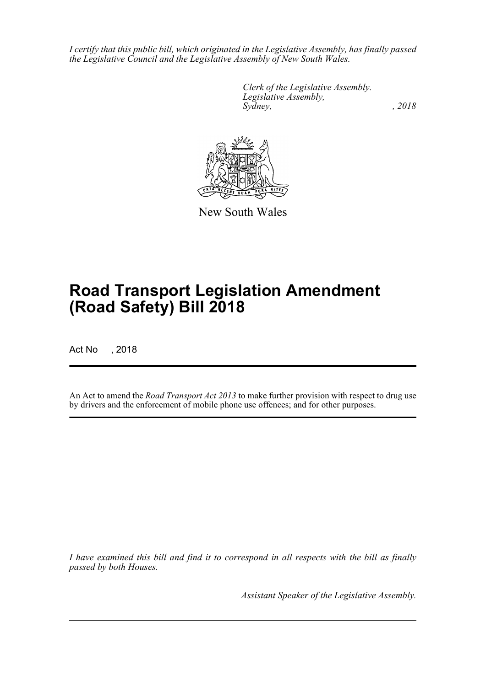*I certify that this public bill, which originated in the Legislative Assembly, has finally passed the Legislative Council and the Legislative Assembly of New South Wales.*

> *Clerk of the Legislative Assembly. Legislative Assembly, Sydney, , 2018*



New South Wales

# **Road Transport Legislation Amendment (Road Safety) Bill 2018**

Act No , 2018

An Act to amend the *Road Transport Act 2013* to make further provision with respect to drug use by drivers and the enforcement of mobile phone use offences; and for other purposes.

*I have examined this bill and find it to correspond in all respects with the bill as finally passed by both Houses.*

*Assistant Speaker of the Legislative Assembly.*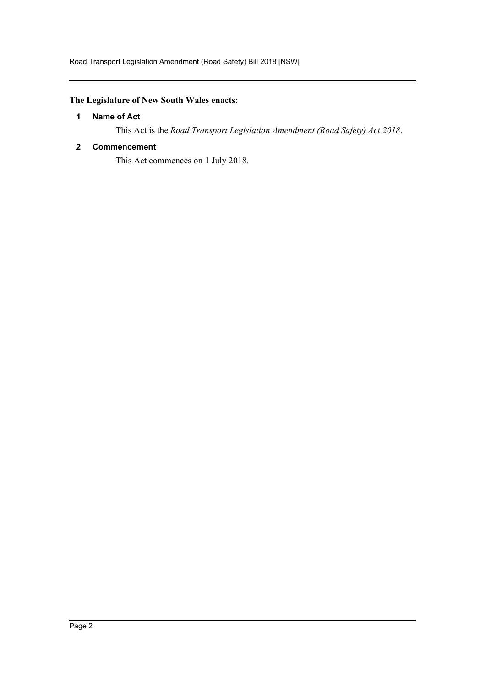## <span id="page-2-0"></span>**The Legislature of New South Wales enacts:**

## **1 Name of Act**

This Act is the *Road Transport Legislation Amendment (Road Safety) Act 2018*.

## <span id="page-2-1"></span>**2 Commencement**

This Act commences on 1 July 2018.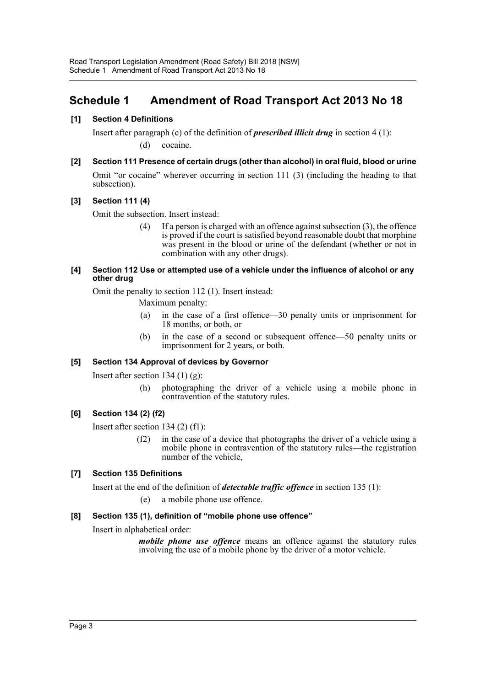# <span id="page-3-0"></span>**Schedule 1 Amendment of Road Transport Act 2013 No 18**

## **[1] Section 4 Definitions**

Insert after paragraph (c) of the definition of *prescribed illicit drug* in section 4 (1): (d) cocaine.

## **[2] Section 111 Presence of certain drugs (other than alcohol) in oral fluid, blood or urine**

Omit "or cocaine" wherever occurring in section 111 (3) (including the heading to that subsection).

## **[3] Section 111 (4)**

Omit the subsection. Insert instead:

(4) If a person is charged with an offence against subsection (3), the offence is proved if the court is satisfied beyond reasonable doubt that morphine was present in the blood or urine of the defendant (whether or not in combination with any other drugs).

#### **[4] Section 112 Use or attempted use of a vehicle under the influence of alcohol or any other drug**

Omit the penalty to section 112 (1). Insert instead:

Maximum penalty:

- (a) in the case of a first offence—30 penalty units or imprisonment for 18 months, or both, or
- (b) in the case of a second or subsequent offence—50 penalty units or imprisonment for 2 years, or both.

## **[5] Section 134 Approval of devices by Governor**

Insert after section 134 (1)  $(g)$ :

(h) photographing the driver of a vehicle using a mobile phone in contravention of the statutory rules.

## **[6] Section 134 (2) (f2)**

Insert after section 134 (2) (f1):

(f2) in the case of a device that photographs the driver of a vehicle using a mobile phone in contravention of the statutory rules—the registration number of the vehicle,

## **[7] Section 135 Definitions**

Insert at the end of the definition of *detectable traffic offence* in section 135 (1):

(e) a mobile phone use offence.

## **[8] Section 135 (1), definition of "mobile phone use offence"**

Insert in alphabetical order:

*mobile phone use offence* means an offence against the statutory rules involving the use of a mobile phone by the driver of a motor vehicle.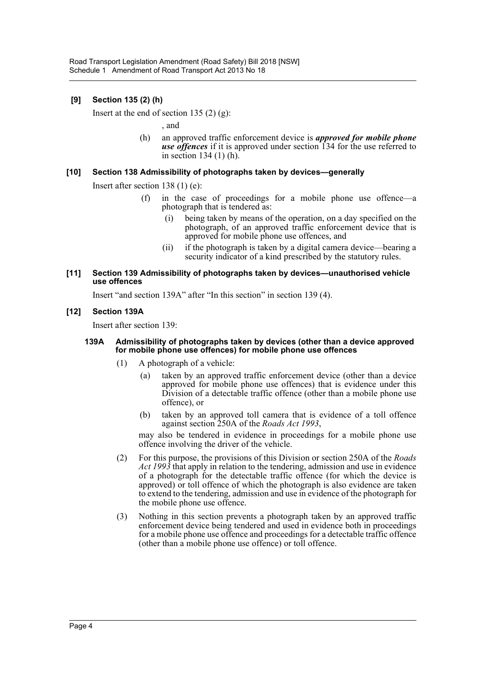## **[9] Section 135 (2) (h)**

Insert at the end of section 135  $(2)$   $(g)$ :

, and

(h) an approved traffic enforcement device is *approved for mobile phone use offences* if it is approved under section 134 for the use referred to in section 134 (1) (h).

## **[10] Section 138 Admissibility of photographs taken by devices—generally**

Insert after section 138 (1) (e):

- (f) in the case of proceedings for a mobile phone use offence—a photograph that is tendered as:
	- (i) being taken by means of the operation, on a day specified on the photograph, of an approved traffic enforcement device that is approved for mobile phone use offences, and
	- (ii) if the photograph is taken by a digital camera device—bearing a security indicator of a kind prescribed by the statutory rules.

#### **[11] Section 139 Admissibility of photographs taken by devices—unauthorised vehicle use offences**

Insert "and section 139A" after "In this section" in section 139 (4).

#### **[12] Section 139A**

Insert after section 139:

#### **139A Admissibility of photographs taken by devices (other than a device approved for mobile phone use offences) for mobile phone use offences**

- (1) A photograph of a vehicle:
	- (a) taken by an approved traffic enforcement device (other than a device approved for mobile phone use offences) that is evidence under this Division of a detectable traffic offence (other than a mobile phone use offence), or
	- (b) taken by an approved toll camera that is evidence of a toll offence against section 250A of the *Roads Act 1993*,

may also be tendered in evidence in proceedings for a mobile phone use offence involving the driver of the vehicle.

- (2) For this purpose, the provisions of this Division or section 250A of the *Roads Act 1993* that apply in relation to the tendering, admission and use in evidence of a photograph for the detectable traffic offence (for which the device is approved) or toll offence of which the photograph is also evidence are taken to extend to the tendering, admission and use in evidence of the photograph for the mobile phone use offence.
- (3) Nothing in this section prevents a photograph taken by an approved traffic enforcement device being tendered and used in evidence both in proceedings for a mobile phone use offence and proceedings for a detectable traffic offence (other than a mobile phone use offence) or toll offence.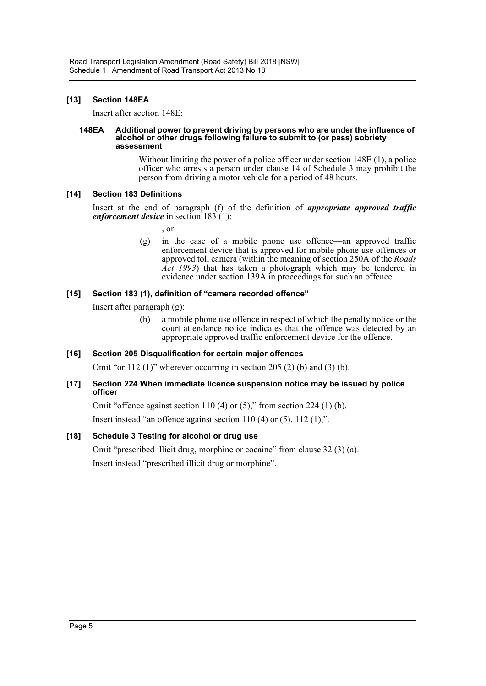## **[13] Section 148EA**

Insert after section 148E:

#### **148EA Additional power to prevent driving by persons who are under the influence of alcohol or other drugs following failure to submit to (or pass) sobriety assessment**

Without limiting the power of a police officer under section 148E (1), a police officer who arrests a person under clause 14 of Schedule 3 may prohibit the person from driving a motor vehicle for a period of 48 hours.

## **[14] Section 183 Definitions**

Insert at the end of paragraph (f) of the definition of *appropriate approved traffic enforcement device* in section 183 (1):

, or

(g) in the case of a mobile phone use offence—an approved traffic enforcement device that is approved for mobile phone use offences or approved toll camera (within the meaning of section 250A of the *Roads Act 1993*) that has taken a photograph which may be tendered in evidence under section 139A in proceedings for such an offence.

## **[15] Section 183 (1), definition of "camera recorded offence"**

Insert after paragraph (g):

(h) a mobile phone use offence in respect of which the penalty notice or the court attendance notice indicates that the offence was detected by an appropriate approved traffic enforcement device for the offence.

## **[16] Section 205 Disqualification for certain major offences**

Omit "or 112 (1)" wherever occurring in section 205 (2) (b) and (3) (b).

## **[17] Section 224 When immediate licence suspension notice may be issued by police officer**

Omit "offence against section 110 (4) or  $(5)$ ," from section 224 (1) (b).

Insert instead "an offence against section 110 (4) or (5), 112 (1),".

## **[18] Schedule 3 Testing for alcohol or drug use**

Omit "prescribed illicit drug, morphine or cocaine" from clause 32 (3) (a). Insert instead "prescribed illicit drug or morphine".